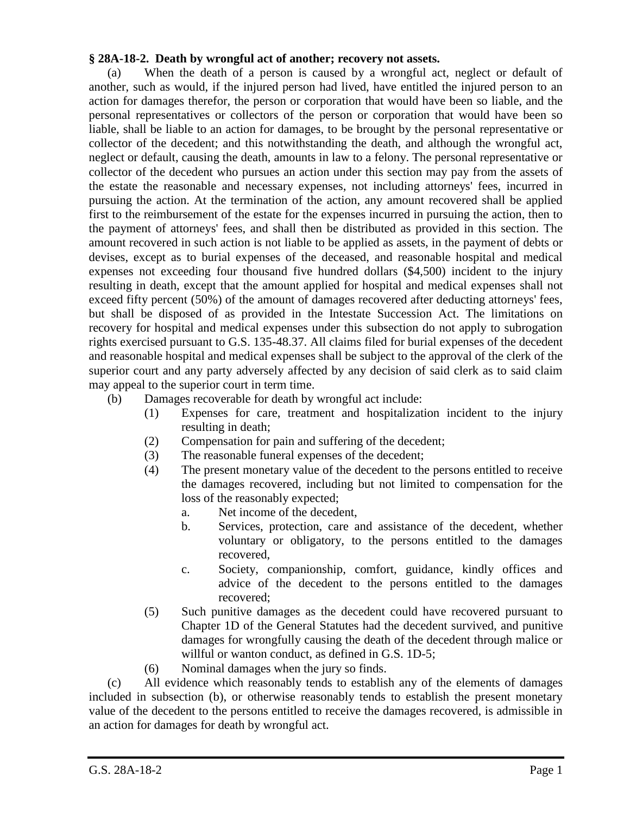## **§ 28A-18-2. Death by wrongful act of another; recovery not assets.**

(a) When the death of a person is caused by a wrongful act, neglect or default of another, such as would, if the injured person had lived, have entitled the injured person to an action for damages therefor, the person or corporation that would have been so liable, and the personal representatives or collectors of the person or corporation that would have been so liable, shall be liable to an action for damages, to be brought by the personal representative or collector of the decedent; and this notwithstanding the death, and although the wrongful act, neglect or default, causing the death, amounts in law to a felony. The personal representative or collector of the decedent who pursues an action under this section may pay from the assets of the estate the reasonable and necessary expenses, not including attorneys' fees, incurred in pursuing the action. At the termination of the action, any amount recovered shall be applied first to the reimbursement of the estate for the expenses incurred in pursuing the action, then to the payment of attorneys' fees, and shall then be distributed as provided in this section. The amount recovered in such action is not liable to be applied as assets, in the payment of debts or devises, except as to burial expenses of the deceased, and reasonable hospital and medical expenses not exceeding four thousand five hundred dollars (\$4,500) incident to the injury resulting in death, except that the amount applied for hospital and medical expenses shall not exceed fifty percent (50%) of the amount of damages recovered after deducting attorneys' fees, but shall be disposed of as provided in the Intestate Succession Act. The limitations on recovery for hospital and medical expenses under this subsection do not apply to subrogation rights exercised pursuant to G.S. 135-48.37. All claims filed for burial expenses of the decedent and reasonable hospital and medical expenses shall be subject to the approval of the clerk of the superior court and any party adversely affected by any decision of said clerk as to said claim may appeal to the superior court in term time.

- (b) Damages recoverable for death by wrongful act include:
	- (1) Expenses for care, treatment and hospitalization incident to the injury resulting in death;
	- (2) Compensation for pain and suffering of the decedent;
	- (3) The reasonable funeral expenses of the decedent;
	- (4) The present monetary value of the decedent to the persons entitled to receive the damages recovered, including but not limited to compensation for the loss of the reasonably expected;
		- a. Net income of the decedent,
		- b. Services, protection, care and assistance of the decedent, whether voluntary or obligatory, to the persons entitled to the damages recovered,
		- c. Society, companionship, comfort, guidance, kindly offices and advice of the decedent to the persons entitled to the damages recovered;
	- (5) Such punitive damages as the decedent could have recovered pursuant to Chapter 1D of the General Statutes had the decedent survived, and punitive damages for wrongfully causing the death of the decedent through malice or willful or wanton conduct, as defined in G.S. 1D-5;
	- (6) Nominal damages when the jury so finds.

(c) All evidence which reasonably tends to establish any of the elements of damages included in subsection (b), or otherwise reasonably tends to establish the present monetary value of the decedent to the persons entitled to receive the damages recovered, is admissible in an action for damages for death by wrongful act.